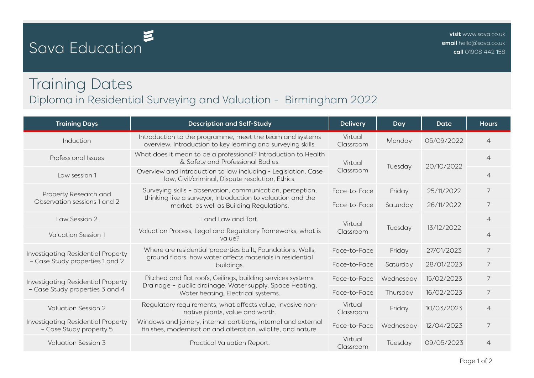## Sava Education

## Training Dates Diploma in Residential Surveying and Valuation - Birmingham 2022

| <b>Training Days</b>                                                  | <b>Description and Self-Study</b>                                                                                                                                     | <b>Delivery</b>      | Day       | Date       | <b>Hours</b>   |
|-----------------------------------------------------------------------|-----------------------------------------------------------------------------------------------------------------------------------------------------------------------|----------------------|-----------|------------|----------------|
| Induction                                                             | Introduction to the programme, meet the team and systems<br>overview. Introduction to key learning and surveying skills.                                              | Virtual<br>Classroom | Monday    | 05/09/2022 | $\overline{4}$ |
| Professional Issues                                                   | What does it mean to be a professional? Introduction to Health<br>& Safety and Professional Bodies.                                                                   | Virtual<br>Classroom | Tuesday   | 20/10/2022 | $\overline{4}$ |
| Law session 1                                                         | Overview and introduction to law including - Legislation, Case<br>law, Civil/criminal, Dispute resolution, Ethics.                                                    |                      |           |            | $\overline{4}$ |
| Property Research and<br>Observation sessions 1 and 2                 | Surveying skills - observation, communication, perception,<br>thinking like a surveyor, Introduction to valuation and the<br>market, as well as Building Regulations. | Face-to-Face         | Friday    | 25/11/2022 | 7              |
|                                                                       |                                                                                                                                                                       | Face-to-Face         | Saturday  | 26/11/2022 | 7              |
| Law Session 2                                                         | Land Law and Tort.                                                                                                                                                    | Virtual<br>Classroom | Tuesday   | 13/12/2022 | $\overline{4}$ |
| <b>Valuation Session 1</b>                                            | Valuation Process, Legal and Regulatory frameworks, what is<br>value?                                                                                                 |                      |           |            | $\overline{4}$ |
| Investigating Residential Property<br>- Case Study properties 1 and 2 | Where are residential properties built, Foundations, Walls,<br>ground floors, how water affects materials in residential<br>buildings.                                | Face-to-Face         | Friday    | 27/01/2023 | $\overline{7}$ |
|                                                                       |                                                                                                                                                                       | Face-to-Face         | Saturday  | 28/01/2023 | 7              |
| Investigating Residential Property<br>- Case Study properties 3 and 4 | Pitched and flat roofs, Ceilings, building services systems:<br>Drainage - public drainage, Water supply, Space Heating,<br>Water heating, Electrical systems.        | Face-to-Face         | Wednesday | 15/02/2023 | $\overline{7}$ |
|                                                                       |                                                                                                                                                                       | Face-to-Face         | Thursday  | 16/02/2023 | 7              |
| <b>Valuation Session 2</b>                                            | Regulatory requirements, what affects value, Invasive non-<br>native plants, value and worth.                                                                         | Virtual<br>Classroom | Friday    | 10/03/2023 | $\overline{4}$ |
| Investigating Residential Property<br>- Case Study property 5         | Windows and joinery, internal partitions, internal and external<br>finishes, modernisation and alteration, wildlife, and nature.                                      | Face-to-Face         | Wednesday | 12/04/2023 | 7              |
| <b>Valuation Session 3</b>                                            | Practical Valuation Report.                                                                                                                                           | Virtual<br>Classroom | Tuesday   | 09/05/2023 | $\overline{4}$ |